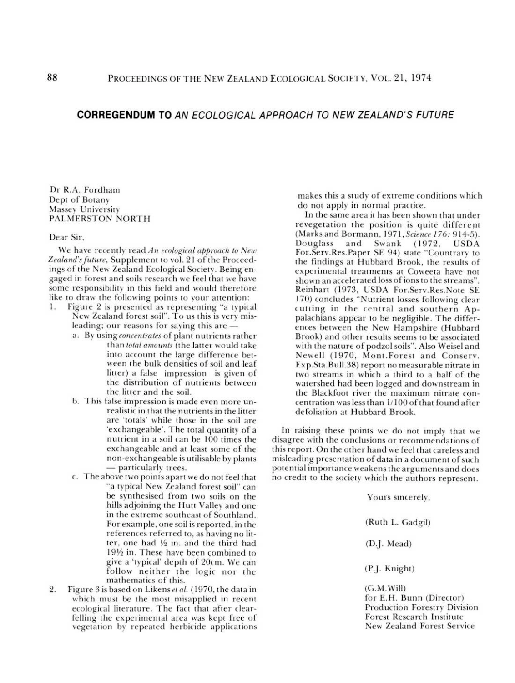# 88 PROCEEDINGS OF THE NEW ZEALAND ECOLOGICAL SOCIETY, VOL. 21, 1974

# CORREGENDUM TO AN ECOLOGICAL APPROACH TO NEW ZEALAND'S FUTURE

Dr R.A. Fordham Dept of Botany Massey University PALMERSTON NORTH

Dear Sir,

1. Figure 2 is presented as representing "a typical New Zealand forest soil". To us this is very mis-

We have recently read An ecological approach *to New* Zealand's future, Supplement to vol. 21 of the Proceedings of the New Zealand Ecological Society. Being engaged in forest and soils research we feel that we have some responsibility in this field and would therefore like to draw the following points to your attention:

makes this a study of extreme conditions which do not apply in normal practice.

- a. By using *concentrates* of plant nutrients rather than *total amounts* (the latter would take into account the large difference between the bulk densities of soil and leaf litter) a false impression is given of the distribution of nutrients between the litter and the soil.
- b. This false impression is made even more unrealistic in that the nutrients in the litter are 'totals' while those in the soil are 'exchangeable'. The total quantity of a nutrient in a soil can be 100 times the exchangeable and at least some of the non-exchangeable is utilisable by plants - particularly trees.
- c. The above two poimsapart we do not feel that "a typical New Zealand forest soil" can be synthesised from two soils on the hills adjoining the Hutt Valley and one in the extreme southeast of Southland. Forexample, one soil is reported, in the references referred to, as having no litter, one had  $\frac{1}{2}$  in. and the third had 191/<sub>2</sub> in. These have been combined to give a 'typical' depth of 20cm. We can follow neither the logic nor the mathematics of this.
- 2. Figure 3 is based on *Likensetal.* (1970, the data in which must be the most misapplied in recent ecological literature. The fact that after clearfelling the experimental area was kept free of vegetation by repeated herbicide applications

In the same area it has been shown that under revegetation the position is quite different (Marks and Bormann, 1971, *Science* 176: 914-5). Douglass and Swank (1972, USDA For.Serv.Res.Paper SE 94) state "Countrary to the findings at Hubbard Brook, the results of experimental treatments at Coweeta have not shown an accelerated loss of ions to the streams". Reinhart (1973, USDA For.Serv.Res.Note SE 170) concludes "Nutrient losses following clear cutting in the central and southern Appalachians appear to be negligible. The differences between the New Hampshire (Hubbard Brook) and other results seems to be associated with the nature of podzol soils". Also Weisel and Newell (1970, Mont.Forest and Conserv. Exp.Sta.Bull.38) report no measurable nitrate in two streams in which a third to a half of the watershed had been logged and downstream in the Blackfoot river the maximum nitrate concentration was less than *1/100* of that found after defoliation at Hubbard Brook.

leading; our reasons for saying this are  $-$ 

In raising these points we do not imply that we disagree with the conclusions or recommendations of this report. On the other hand we feel that careless and misleading presentation of data in a document of such potential importance weakens the arguments and does no credit to the society which the authors represent.

Yours sincerely,

(Ruth L. Gadgil)

(D.]. Mead)

(P.]. Knight)

(G.M.Will) for E.H. Bunn (Director) Production Forestry Division Forest Research Institute New Zealand Forest Service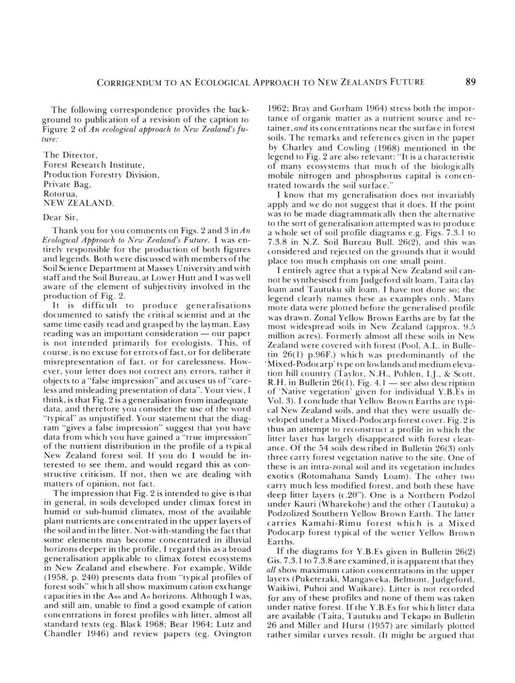### CORRIGENDUM TO AN ECOLOGICAL ApPROACH TO NEW ZEALAND'S FUTURE

The following correspondence provides the background to publication of a revision of the caption to Figure 2 of An ecological approach to New Zealand's fu*ture:*

The Director, Forest Research Institute, Production Forestry Division, Private Bag, Rotorua, NEW ZEALAND.

Dear Sir,

It is difficult to produce generalisations documented to satisfy the critical scientist and at the same time easily read and grasped by the layman. Easy reading was an important consideration — our paper is not intended primarily for ecologists. This, of course, is no excuse for errors of fact, or for deliberate misrepresentation of fact, or for carelessness. However, your letter does not correct any errors, rather it objects to a "false impression" and accuses us of "careless and misleading presentation of data". Your view, I think, is that Fig. 2 is a generalisation from inadequate data, and theretore you consider the use of the word "typical" as unjustified. Your statement that the diagram "gives a false impression" suggest that you have data from which you have gained a "true impression" of the nutrient distribution in the profile of a typical New Zealand forest soil. If you do I would be interested to see them, and would regard this as constructive criticism. If not, then we are dealing with matters of opinion, not fact. The impression that Fig. 2 is intended to give is that in general, in soils developed under climax forest in humid or sub-humid climates, most of the available plant nutrients are concentrated in the upper layers of the soil and in the litter. Not-with-standing the fact that some elements may become concentrated in illuvial horizons deeper in the profile, I regard this as a broad generalisation applicable to climax forest ecosystems in New Zealand and elsewhere. For example, Wilde (1958, p. 240) presents data from "typical profiles of forest soils" which all show maximum cation exchange capacities in the Aoo and Ao horizons. Although I was, and still am, unable to find a good example of cation concentrations in forest profiles with litter, almost all standard texts (eg. Black 1968; Bear 1964; Lutz and  $CL = 11 - 104C$  is review papers (eg. Ovington)

Thank you for you comments on Figs. 2 and 3 in *An Ecological Approach to New Zealand's Future.* I was entirely responsible for the production of both figures and legends. Both were discussed with members of the Soil Science Department at Massey University and with staff and the Soil Bureau, at Lower Hutt and I was well aware of the element of subjectivity involved in the production of Fig. 2.

| Chandler 1940) and review papers (eg. Ovington |  |
|------------------------------------------------|--|
|------------------------------------------------|--|

1962: Bray and Gorham 1964) stress both the importance of organic matter as a nutrient source and retainer, *and* its concentrations near the surface in forest soils. The remarks and references given in the paper by Charley and Cowling (1968) mentioned in the legend to Fig. 2 are also relevant: "It is a characteristic of many ecosystems that much of the biologically mobile nitrogen and phosphorus capital is concentrated towards the soil surface:'

I know that my generalisation does not invariably apply and we do not suggest that it does. If the point was to be made diagrammatically then the alternative to the sort of generalisation attempted was to produce a whole set of soil profile diagrams e.g. Figs. 7.3.1 to 7.3.8 in N.Z. Soil Bureau Bull. 26(2), and this was considered and rejected on the grounds that it would place too much emphasis on one small point.

I entirely agree that a typical New Zealand soil can~ not be synthesised fromJudgeford silt loam, Taita day loam and Tautuku silt loam. I have not done so; the legend clearly names these as examples only. Many more data were plotted before the generalised profil was drawn. Zonal Yellow Brown Earths are by far the most widespread soils in New Zealand (approx. Y.5 million acres). Formerly almost all these soils in New Zealand were covered with forest (Pool, A.L. in Bulle- $\binom{1}{26(1)}$  p.96F.) which was predominantly of the 'Mixed-Podocarp' type on lowlands and medium elevation hill country (Taylor, N.H., Pohlen, I.J., & Scott, R.H. in Bulletin  $26(1)$ , Fig.  $4.1$  - see also description of 'Native vegetation' given for individual Y.B.Es in Vol. 3). I conclude that Yellow Brown Earths are typical New Zealand soils, and that they were usually developed under a Mixed-Podocarp forest cover. Fig. 2 is thus an attempt to reconstruct a profile in which the litter layer has largely disappeared with forest clearance. Of the 54 soils described in Bulletin 26(3) only three carry forest vegetation native to the site. One of these is an intra-zonal soil and its vegetation includes exotics (Rotomahana Sandy Loam). The other two carry much less modified forest, and both these have deep litter layers  $(c.20)$ . One is a Northern Podzol under Kauri (Wharekohe) and the other (Tautuku) a Podzolized Southern Yellow Brown Earth. The latter carries Kamahi-Rimu forest which is a Mixed Podocarp forest typical of the wetter Yellow Brown Earths. If the diagrams for Y.B.Es given in Bulletin 26(2) Gis. 7.3.1 to 7.3.8 are examined, it is apparent that they *all* show maximum cation concentrations in the upper layers (Puketeraki, Mangaweka, Belmont, Judgeford, Waikiwi, Puhoi and Waikare). Litter is not recorded for any of these profiles and none of them was taken under native forest. If the Y.B.Es for which litter data are available (Taita, Tautuku and Tekapo in Bulletin 26 and Miller and Hurst (1957) are similarly plotted

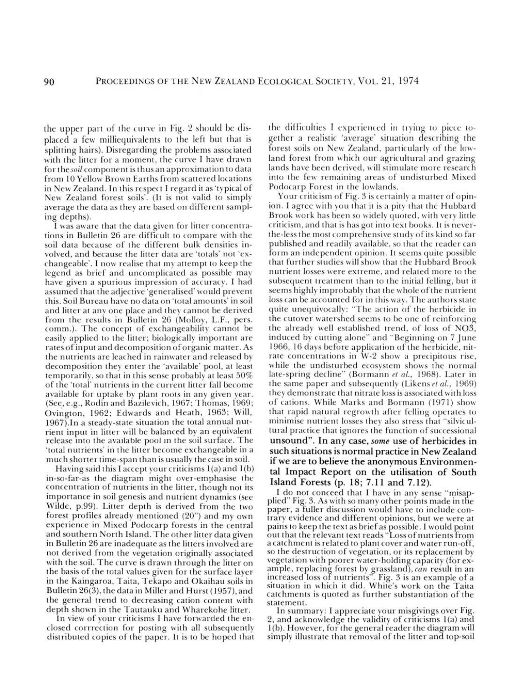### 90 PROCEEDINGS OF THE NEW ZEALAND ECOLOGICAL SOCIETY, VOL. 21, 1974

the upper part of the curve in Fig. 2 should be displaced a few milliequivalents to the left but that is splitting hairs). Disregarding the problems associated with the litter for a moment, the curve I have drawn for *thcsoil* component is thus an approximation to data from 10 Yellow Brown Earths from scattered locations in New Zealand. In this respect I regard it as 'typical of New Zealand forest soils', (It is not valid to simply average the data as they are based on different sampling depths).

I was aware that the data given for litter concentrations in Bulletin 26 are difficult to compare with the soil data because of the different bulk densities involved, and because the litter data are 'totals' not 'exchangeable'. I now realise that my attempt to keep the legend as brief and uncomplicated as possible may have given a spurious impression of accuracy. I had assumed that the adjective 'generalised' would prevent this. Soil Bureau have no data on 'total amounts' in soil and litter at any one place and they cannot be derived from the results in Bulletin 26 (Molloy, L.F., pers. tomm.). The concept of exchangeability cannot be easily applied to the litter; biologically important are rates of input and decomposition of organic matter. As the nutrients are leached in raimvater and released bv decomposition they enter the 'available' pool, at least temporarily, so that in this sense probably at least 50% of the 'total' nutrients in the current litter fall become available for uptake by plant roots in any given year. (See,e.g., Rodin and Bazilevich, 1967; Thomas, 1969; Ovington, 1962; Edwards and Heath, 1963; Will, I 967).In a steady-state situation the total annual nutrient input in litter will be balanced by an equivalent release into the available pool in the soil surface. The 'total nutrients' in the litter become exchangeable in a much shorter time-span than is usually the case in soil. Having said this I accept your criticisms 1(a) and I(b) in-so-far-as the diagram might over-emphasise the concentration of nutrients in the litter, though not its importance in soil genesis and nutrient dynamics (see Wilde, p.99). Litter depth is derived from the two forest profiles already mentioned (20") and my own experience in Mixed Podocarp forests in the central and southern North Island. The other litter data given in Bulletin 26 are inadequate as the litters involved are not derived from the vegetation originally associated with the soil. The curve is drawn through the litter on the basis of the total values given for the surface layer in the Kaingaroa, Taita, Tekapo and Okaihau soils in Bulletin 26(3), the data in Miller and Hurst (1957), and the general trend to decreasing cation content with depth shown in the Tautauku and Wharekohe litter. In view of your criticisms I have forwarded the enclosed corrrection for posting with all subsequently

the difficulties I experienced in trying to piece together a realistic 'average' situation describing the forest soils on New Zealand, particularly of the lowland forest from which our agricultural and grazing lands have been derived, will stimulate more research into the few remaining areas of undisturbed Mixed Podocarp Forest in the lowlands.

Your criticism of Fig. 3 is certainly a matter of opinion. I agree with you that it is a pity that the Hubbard Brook work has been so widely quoted, with very little criticism, and that is has got into text books. It is nc\'erthe-less the most comprehensive study of its kind so far published and readily available, so that the reader can form an independent opinion. It seems quite possible that further studies will show that the Hubbard Brook nutrient losses were extreme, and related more 10 the subsequent treatment than to the initial felling, but it seems highly improbably that the whole of the nutrient loss can be accounted for in this way. The authors state quite unequivocally: "The action of the herbicide in the cutover watershed secms to be one of reinforcing the already well established trend, of loss of N03, induced by cutting alone" and "Beginning on 7 June 1966, 16 days before application of the herbicide, nitrate concentrations in  $W-2$  show a precipitous rise, while the undisturbed ecosystem shows the normal late-spring decline" (Bormann et al., 1968). Later in the same paper and subsequently (Likens *et al.*, 1969) they demonstrate that nitrate loss is associated with loss of cations. While Marks and Bormann (1971) show that rapid natural regrowth after felling operates to minimise nutrient losses they also stress that "silvicultural practice that ignores the function of successional unsound". In any case, *some* use of herbicides in such situations is normal practice in New Zealand if we are to believe the anonymous Environmental Impact Report on the utilisation of South Island Forests (p. 18; 7.11 and 7.12). I do not conceed that I have in any sense "misapplied" Fig. 3. As with so many other points made in the paper, a fuller discussion would have to include contrary evidence and different opinions, but we were at pains to keep the text as briefas possible. I would point out that the relevant text reads "Loss of nutrients from a catchment is related to plant cover and water run-off, so the destruction of vegetation, or its replacement by vegetation with poorer water-holding capacity (for example, replacing forest by grassland), *can* result in an increased loss of nutrients". Fig. 3 is an example of a situation in which it did. White's work on the Taita catchments is quoted as further substantiation of the statement. In summary: I appreciate your misgivings over Fig. 2, and acknowledge the validity of criticisms  $l(a)$  and I(b). However, for the general reader the diagram will

### distributed copies of the paper. It is to be hoped that

simply illustrate that removal of the litter and top-soil